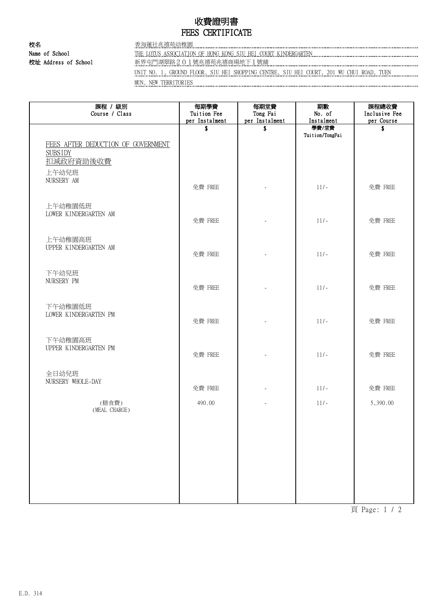## 收費證明書 FEES CERTIFICATE

校名 香海蓮社兆禧苑幼稚園

Name of School THE LOTUS ASSOCIATION OF HONG KONG SIU HEI COURT KINDERGARTEN 校址 Address of School 新界屯門湖翠路201號兆禧苑兆禧商場地下1號舖

UNIT NO. 1, GROUND FLOOR, SIU HEI SHOPPING CENTRE, SIU HEI COURT, 201 WU CHUI ROAD, TUEN MUN, NEW TERRITORIES

| 課程 / 級別<br>Course / Class                                                  | 每期學費<br>Tuition Fee<br>per Instalment | 每期堂費<br>Tong Fai<br>per Instalment | 期數<br>No. of<br>Instalment | 課程總收費<br>Inclusive Fee<br>per Course |
|----------------------------------------------------------------------------|---------------------------------------|------------------------------------|----------------------------|--------------------------------------|
| FEES AFTER DEDUCTION OF GOVERNMENT<br><b>SUBSIDY</b><br>扣减政府資助後收費<br>上午幼兒班 | \$                                    | \$.                                | 學費/堂費<br>Tuition/TongFai   | \$                                   |
| NURSERY AM                                                                 | 免費 FREE                               |                                    | $11/-$                     | 免費 FREE                              |
| 上午幼稚園低班<br>LOWER KINDERGARTEN AM                                           | 免費 FREE                               |                                    | $11/-$                     | 免費 FREE                              |
| 上午幼稚園高班<br>UPPER KINDERGARTEN AM                                           | 免費 FREE                               |                                    | $11/-$                     | 免費 FREE                              |
| 下午幼兒班<br>NURSERY PM                                                        | 免費 FREE                               |                                    | $11/-$                     | 免費 FREE                              |
| 下午幼稚園低班<br>LOWER KINDERGARTEN PM                                           | 免費 FREE                               |                                    | $11/-$                     | 免費 FREE                              |
| 下午幼稚園高班<br>UPPER KINDERGARTEN PM                                           | 免費 FREE                               |                                    | $11/-$                     | 免費 FREE                              |
| 全日幼兒班<br>NURSERY WHOLE-DAY                                                 | 免費 FREE                               |                                    | $11/-$                     | 免費 FREE                              |
| (膳食費)<br>(MEAL CHARGE)                                                     | 490.00                                |                                    | $11/-$                     | 5,390.00                             |
|                                                                            |                                       |                                    |                            |                                      |
|                                                                            |                                       |                                    |                            |                                      |
|                                                                            |                                       |                                    |                            |                                      |
|                                                                            |                                       |                                    |                            |                                      |

頁 Page: 1 / 2